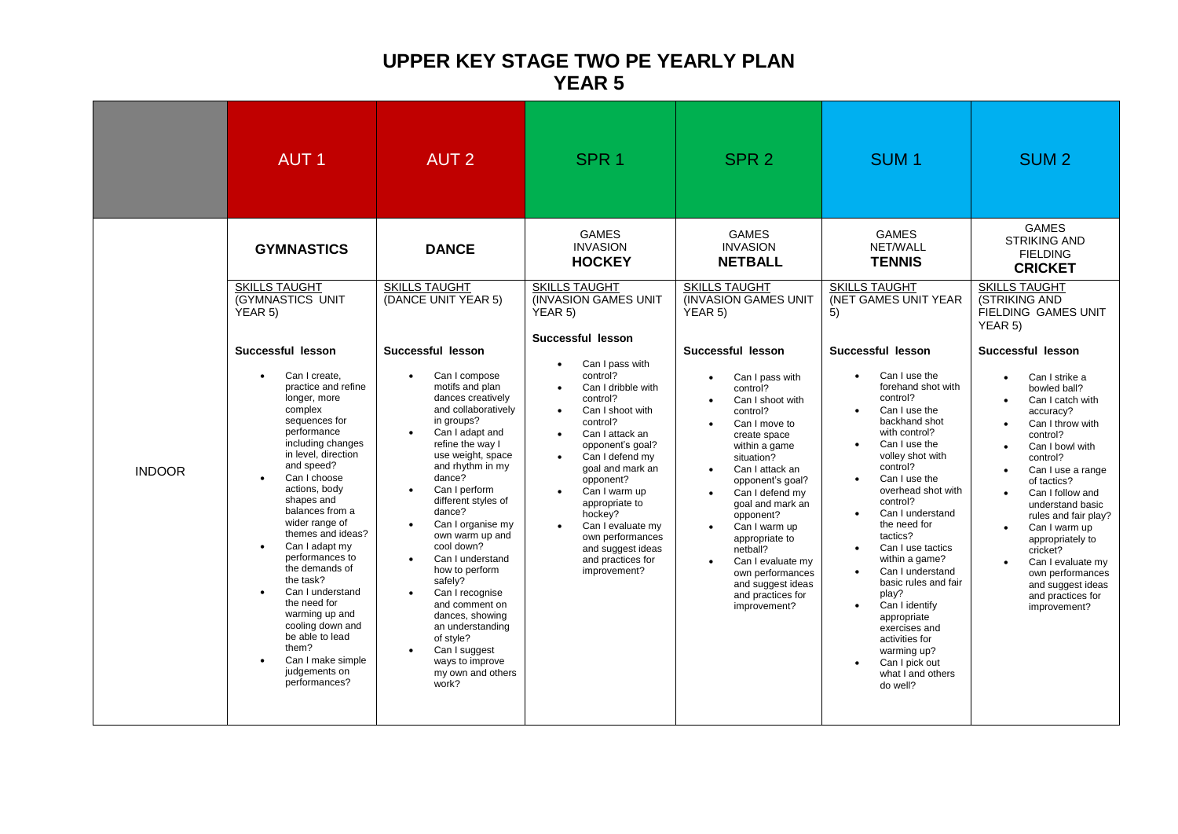## **UPPER KEY STAGE TWO PE YEARLY PLAN YEAR 5**

|               | <b>AUT1</b>                                                                                                                                                                                                                                                                                                                                                                                                                                                                                                                                                                 | <b>AUT 2</b>                                                                                                                                                                                                                                                                                                                                                                                                                                                                                                                                                                                | SPR <sub>1</sub>                                                                                                                                                                                                                                                                                                                                                                                                                                                                           | SPR <sub>2</sub>                                                                                                                                                                                                                                                                                                                                                                                                                                                                                                           | SUM <sub>1</sub>                                                                                                                                                                                                                                                                                                                                                                                                                                                                                                                                                                                           | SUM <sub>2</sub>                                                                                                                                                                                                                                                                                                                                                                                                                                                                                                                                                                                                                    |
|---------------|-----------------------------------------------------------------------------------------------------------------------------------------------------------------------------------------------------------------------------------------------------------------------------------------------------------------------------------------------------------------------------------------------------------------------------------------------------------------------------------------------------------------------------------------------------------------------------|---------------------------------------------------------------------------------------------------------------------------------------------------------------------------------------------------------------------------------------------------------------------------------------------------------------------------------------------------------------------------------------------------------------------------------------------------------------------------------------------------------------------------------------------------------------------------------------------|--------------------------------------------------------------------------------------------------------------------------------------------------------------------------------------------------------------------------------------------------------------------------------------------------------------------------------------------------------------------------------------------------------------------------------------------------------------------------------------------|----------------------------------------------------------------------------------------------------------------------------------------------------------------------------------------------------------------------------------------------------------------------------------------------------------------------------------------------------------------------------------------------------------------------------------------------------------------------------------------------------------------------------|------------------------------------------------------------------------------------------------------------------------------------------------------------------------------------------------------------------------------------------------------------------------------------------------------------------------------------------------------------------------------------------------------------------------------------------------------------------------------------------------------------------------------------------------------------------------------------------------------------|-------------------------------------------------------------------------------------------------------------------------------------------------------------------------------------------------------------------------------------------------------------------------------------------------------------------------------------------------------------------------------------------------------------------------------------------------------------------------------------------------------------------------------------------------------------------------------------------------------------------------------------|
| <b>INDOOR</b> | <b>GYMNASTICS</b><br><b>SKILLS TAUGHT</b><br>(GYMNASTICS UNIT<br>YEAR 5)<br>Successful lesson<br>Can I create,<br>$\bullet$<br>practice and refine<br>longer, more<br>complex<br>sequences for<br>performance<br>including changes<br>in level, direction<br>and speed?<br>Can I choose<br>actions, body<br>shapes and<br>balances from a<br>wider range of<br>themes and ideas?<br>Can I adapt my<br>$\bullet$<br>performances to<br>the demands of<br>the task?<br>Can I understand<br>$\bullet$<br>the need for<br>warming up and<br>cooling down and<br>be able to lead | <b>DANCE</b><br><b>SKILLS TAUGHT</b><br>(DANCE UNIT YEAR 5)<br>Successful lesson<br>Can I compose<br>$\bullet$<br>motifs and plan<br>dances creatively<br>and collaboratively<br>in groups?<br>Can I adapt and<br>$\bullet$<br>refine the way I<br>use weight, space<br>and rhythm in my<br>dance?<br>Can I perform<br>$\bullet$<br>different styles of<br>dance?<br>Can I organise my<br>$\bullet$<br>own warm up and<br>cool down?<br>Can I understand<br>$\bullet$<br>how to perform<br>safely?<br>Can I recognise<br>$\bullet$<br>and comment on<br>dances, showing<br>an understanding | <b>GAMES</b><br><b>INVASION</b><br><b>HOCKEY</b><br><b>SKILLS TAUGHT</b><br>(INVASION GAMES UNIT<br>YEAR 5)<br>Successful lesson<br>Can I pass with<br>control?<br>Can I dribble with<br>control?<br>Can I shoot with<br>control?<br>Can I attack an<br>opponent's goal?<br>Can I defend my<br>goal and mark an<br>opponent?<br>Can I warm up<br>$\bullet$<br>appropriate to<br>hockey?<br>Can I evaluate my<br>own performances<br>and suggest ideas<br>and practices for<br>improvement? | <b>GAMES</b><br><b>INVASION</b><br><b>NETBALL</b><br><b>SKILLS TAUGHT</b><br>(INVASION GAMES UNIT<br>YEAR 5)<br>Successful lesson<br>Can I pass with<br>$\bullet$<br>control?<br>Can I shoot with<br>control?<br>Can I move to<br>create space<br>within a game<br>situation?<br>Can I attack an<br>opponent's goal?<br>Can I defend my<br>goal and mark an<br>opponent?<br>Can I warm up<br>appropriate to<br>netball?<br>Can I evaluate my<br>own performances<br>and suggest ideas<br>and practices for<br>improvement? | <b>GAMES</b><br>NET/WALL<br><b>TENNIS</b><br><b>SKILLS TAUGHT</b><br>(NET GAMES UNIT YEAR<br>5)<br>Successful lesson<br>Can I use the<br>$\bullet$<br>forehand shot with<br>control?<br>Can I use the<br>backhand shot<br>with control?<br>Can I use the<br>vollev shot with<br>control?<br>Can I use the<br>$\bullet$<br>overhead shot with<br>control?<br>Can I understand<br>$\bullet$<br>the need for<br>tactics?<br>Can I use tactics<br>$\bullet$<br>within a game?<br>Can I understand<br>$\bullet$<br>basic rules and fair<br>play?<br>Can I identify<br>$\bullet$<br>appropriate<br>exercises and | <b>GAMES</b><br><b>STRIKING AND</b><br><b>FIELDING</b><br><b>CRICKET</b><br><b>SKILLS TAUGHT</b><br>(STRIKING AND<br>FIELDING GAMES UNIT<br>YEAR 5)<br>Successful lesson<br>Can I strike a<br>$\bullet$<br>bowled ball?<br>Can I catch with<br>accuracy?<br>Can I throw with<br>$\bullet$<br>control?<br>Can I bowl with<br>$\bullet$<br>control?<br>Can I use a range<br>of tactics?<br>Can I follow and<br>understand basic<br>rules and fair play?<br>Can I warm up<br>$\bullet$<br>appropriately to<br>cricket?<br>Can I evaluate my<br>$\bullet$<br>own performances<br>and suggest ideas<br>and practices for<br>improvement? |
|               | them?<br>Can I make simple<br>judgements on<br>performances?                                                                                                                                                                                                                                                                                                                                                                                                                                                                                                                | of style?<br>Can I suggest<br>$\bullet$<br>ways to improve<br>my own and others<br>work?                                                                                                                                                                                                                                                                                                                                                                                                                                                                                                    |                                                                                                                                                                                                                                                                                                                                                                                                                                                                                            |                                                                                                                                                                                                                                                                                                                                                                                                                                                                                                                            | activities for<br>warming up?<br>Can I pick out<br>what I and others<br>do well?                                                                                                                                                                                                                                                                                                                                                                                                                                                                                                                           |                                                                                                                                                                                                                                                                                                                                                                                                                                                                                                                                                                                                                                     |